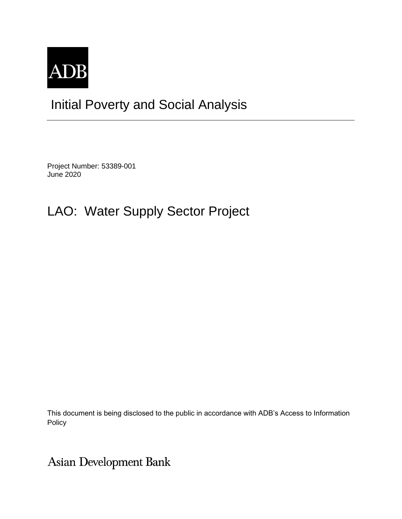

# Initial Poverty and Social Analysis

Project Number: 53389-001 June 2020

# LAO: Water Supply Sector Project

This document is being disclosed to the public in accordance with ADB's Access to Information Policy

**Asian Development Bank**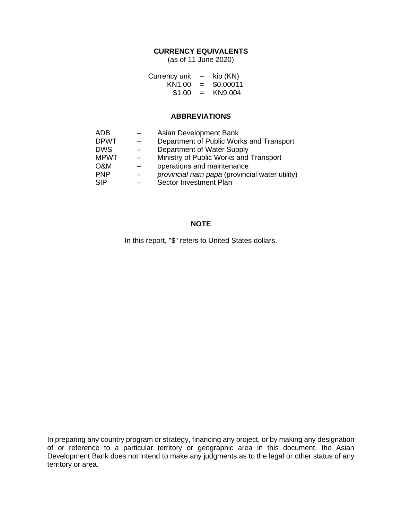## **CURRENCY EQUIVALENTS**

(as of 11 June 2020)

| Currency unit      | $\qquad \qquad$ | kip (KN)  |
|--------------------|-----------------|-----------|
| KN <sub>1.00</sub> | $=$             | \$0.00011 |
| \$1.00             | $=$             | KN9,004   |

### **ABBREVIATIONS**

| ADB         | Asian Development Bank                         |
|-------------|------------------------------------------------|
| <b>DPWT</b> | Department of Public Works and Transport       |
| <b>DWS</b>  | Department of Water Supply                     |
| <b>MPWT</b> | Ministry of Public Works and Transport         |
| O&M         | operations and maintenance                     |
| <b>PNP</b>  | provincial nam papa (provincial water utility) |
| SIP         | Sector Investment Plan                         |

### **NOTE**

In this report, "\$" refers to United States dollars.

In preparing any country program or strategy, financing any project, or by making any designation of or reference to a particular territory or geographic area in this document, the Asian Development Bank does not intend to make any judgments as to the legal or other status of any territory or area.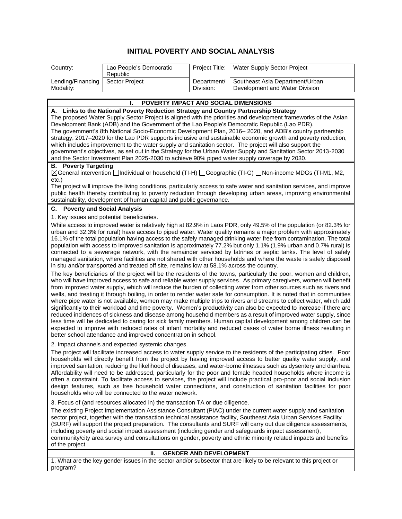## **INITIAL POVERTY AND SOCIAL ANALYSIS**

| Country:                           | Lao People's Democratic<br>Republic |             | Project Title:   Water Supply Sector Project |
|------------------------------------|-------------------------------------|-------------|----------------------------------------------|
| Lending/Financing   Sector Project |                                     | Department/ | Southeast Asia Department/Urban              |
| Modality:                          |                                     | Division:   | Development and Water Division               |

#### **I. POVERTY IMPACT AND SOCIAL DIMENSIONS A. Links to the National Poverty Reduction Strategy and Country Partnership Strategy** The proposed Water Supply Sector Project is aligned with the priorities and development frameworks of the Asian Development Bank (ADB) and the Government of the Lao People's Democratic Republic (Lao PDR). The government's 8th National Socio-Economic Development Plan, 2016– 2020, and ADB's country partnership strategy, 2017–2020 for the Lao PDR supports inclusive and sustainable economic growth and poverty reduction, which includes improvement to the water supply and sanitation sector. The project will also support the government's objectives, as set out in the Strategy for the Urban Water Supply and Sanitation Sector 2013-2030 and the Sector Investment Plan 2025-2030 to achieve 90% piped water supply coverage by 2030. **B. Poverty Targeting** General intervention Individual or household (TI-H) Geographic (TI-G) Non-income MDGs (TI-M1, M2, etc.) The project will improve the living conditions, particularly access to safe water and sanitation services, and improve public health thereby contributing to poverty reduction through developing urban areas, improving environmental sustainability, development of human capital and public governance. **C. Poverty and Social Analysis** 1. Key issues and potential beneficiaries. While access to improved water is relatively high at 82.9% in Laos PDR, only 49.5% of the population (or 82.3% for urban and 32.3% for rural) have access to piped water. Water quality remains a major problem with approximately 16.1% of the total population having access to the safely managed drinking water free from contamination. The total population with access to improved sanitation is approximately 77.2% but only 1.1% (1.9% urban and 0.7% rural) is connected to a sewerage network, with the remainder serviced by latrines or septic tanks. The level of safely managed sanitation, where facilities are not shared with other households and where the waste is safely disposed in situ and/or transported and treated off site, remains low at 58.1% across the country. The key beneficiaries of the project will be the residents of the towns, particularly the poor, women and children, who will have improved access to safe and reliable water supply services. As primary caregivers, women will benefit from improved water supply, which will reduce the burden of collecting water from other sources such as rivers and wells, and treating it through boiling, in order to render water safe for consumption. It is noted that in communities where pipe water is not available, women may make multiple trips to rivers and streams to collect water, which add significantly to their workload and time poverty. Women's productivity can also be expected to increase if there are reduced incidences of sickness and disease among household members as a result of improved water supply, since less time will be dedicated to caring for sick family members. Human capital development among children can be expected to improve with reduced rates of infant mortality and reduced cases of water borne illness resulting in better school attendance and improved concentration in school. 2. Impact channels and expected systemic changes. The project will facilitate increased access to water supply service to the residents of the participating cities. Poor households will directly benefit from the project by having improved access to better quality water supply, and improved sanitation, reducing the likelihood of diseases, and water-borne illnesses such as dysentery and diarrhea. Affordability will need to be addressed, particularly for the poor and female headed households where income is often a constraint. To facilitate access to services, the project will include practical pro-poor and social inclusion design features, such as free household water connections, and construction of sanitation facilities for poor

households who will be connected to the water network.

3. Focus of (and resources allocated in) the transaction TA or due diligence.

The existing Project Implementation Assistance Consultant (PIAC) under the current water supply and sanitation sector project, together with the transaction technical assistance facility, Southeast Asia Urban Services Facility (SURF) will support the project preparation. The consultants and SURF will carry out due diligence assessments, including poverty and social impact assessment (including gender and safeguards impact assessment), community/city area survey and consultations on gender, poverty and ethnic minority related impacts and benefits of the project.

#### **II. GENDER AND DEVELOPMENT**

1. What are the key gender issues in the sector and/or subsector that are likely to be relevant to this project or program?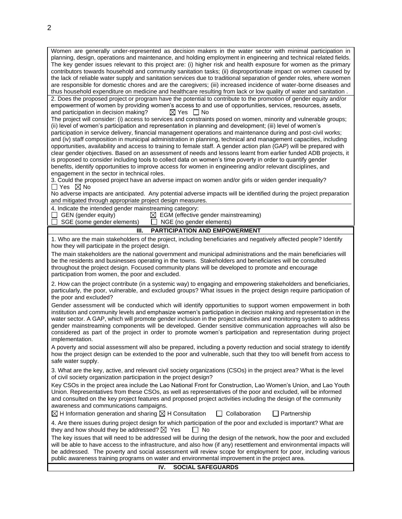Women are generally under-represented as decision makers in the water sector with minimal participation in planning, design, operations and maintenance, and holding employment in engineering and technical related fields. The key gender issues relevant to this project are: (i) higher risk and health exposure for women as the primary contributors towards household and community sanitation tasks; (ii) disproportionate impact on women caused by the lack of reliable water supply and sanitation services due to traditional separation of gender roles, where women are responsible for domestic chores and are the caregivers; (iii) increased incidence of water-borne diseases and thus household expenditure on medicine and healthcare resulting from lack or low quality of water and sanitation . 2. Does the proposed project or program have the potential to contribute to the promotion of gender equity and/or empowerment of women by providing women's access to and use of opportunities, services, resources, assets, and participation in decision making?  $\boxtimes$  Yes  $\Box$  No The project will consider: (i) access to services and constraints posed on women, minority and vulnerable groups; (ii) level of women's participation and representation in planning and development; (iii) level of women's participation in service delivery, financial management operations and maintenance during and post-civil works; and (iv) staff composition in municipal administration in planning, technical and management capacities, including opportunities, availability and access to training to female staff. A gender action plan (GAP) will be prepared with clear gender objectives. Based on an assessment of needs and lessons learnt from earlier funded ADB projects, it is proposed to consider including tools to collect data on women's time poverty in order to quantify gender benefits, identify opportunities to improve access for women in engineering and/or relevant disciplines, and engagement in the sector in technical roles. 3. Could the proposed project have an adverse impact on women and/or girls or widen gender inequality?  $\Box$  Yes  $\boxtimes$  No No adverse impacts are anticipated. Any potential adverse impacts will be identified during the project preparation and mitigated through appropriate project design measures. 4. Indicate the intended gender mainstreaming category:<br>  $\Box$  GEN (gender equity)  $\boxtimes$  EGM (effective GEN (gender equity) <br>
GEGM (effective gender mainstreaming)<br>
GEG (no gender elements) C NGE (no gender elements)  $\Box$  NGE (no gender elements) **III. PARTICIPATION AND EMPOWERMENT** 1. Who are the main stakeholders of the project, including beneficiaries and negatively affected people? Identify how they will participate in the project design. The main stakeholders are the national government and municipal administrations and the main beneficiaries will be the residents and businesses operating in the towns. Stakeholders and beneficiaries will be consulted throughout the project design. Focused community plans will be developed to promote and encourage participation from women, the poor and excluded. 2. How can the project contribute (in a systemic way) to engaging and empowering stakeholders and beneficiaries, particularly, the poor, vulnerable, and excluded groups? What issues in the project design require participation of the poor and excluded? Gender assessment will be conducted which will identify opportunities to support women empowerment in both institution and community levels and emphasize women's participation in decision making and representation in the water sector. A GAP, which will promote gender inclusion in the project activities and monitoring system to address gender mainstreaming components will be developed. Gender sensitive communication approaches will also be considered as part of the project in order to promote women's participation and representation during project implementation. A poverty and social assessment will also be prepared, including a poverty reduction and social strategy to identify how the project design can be extended to the poor and vulnerable, such that they too will benefit from access to safe water supply. 3. What are the key, active, and relevant civil society organizations (CSOs) in the project area? What is the level of civil society organization participation in the project design? Key CSOs in the project area include the Lao National Front for Construction, Lao Women's Union, and Lao Youth Union. Representatives from these CSOs, as well as representatives of the poor and excluded, will be informed and consulted on the key project features and proposed project activities including the design of the community awareness and communications campaigns.  $\boxtimes$  H Information generation and sharing  $\boxtimes$  H Consultation  $\Box$  Collaboration  $\Box$  Partnership 4. Are there issues during project design for which participation of the poor and excluded is important? What are they and how should they be addressed?  $\boxtimes$  Yes  $\Box$  No The key issues that will need to be addressed will be during the design of the network, how the poor and excluded will be able to have access to the infrastructure, and also how (if any) resettlement and environmental impacts will be addressed. The poverty and social assessment will review scope for employment for poor, including various public awareness training programs on water and environmental improvement in the project area. **IV. SOCIAL SAFEGUARDS**